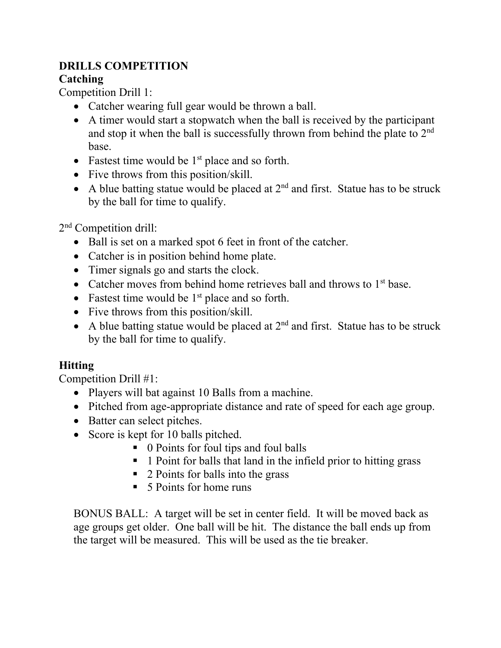# **DRILLS COMPETITION**

# **Catching**

Competition Drill 1:

- Catcher wearing full gear would be thrown a ball.
- A timer would start a stopwatch when the ball is received by the participant and stop it when the ball is successfully thrown from behind the plate to 2<sup>nd</sup> base.
- Fastest time would be  $1<sup>st</sup>$  place and so forth.
- Five throws from this position/skill.
- A blue batting statue would be placed at  $2<sup>nd</sup>$  and first. Statue has to be struck by the ball for time to qualify.

2nd Competition drill:

- Ball is set on a marked spot 6 feet in front of the catcher.
- Catcher is in position behind home plate.
- Timer signals go and starts the clock.
- Catcher moves from behind home retrieves ball and throws to  $1<sup>st</sup>$  base.
- Fastest time would be  $1<sup>st</sup>$  place and so forth.
- Five throws from this position/skill.
- A blue batting statue would be placed at  $2<sup>nd</sup>$  and first. Statue has to be struck by the ball for time to qualify.

# **Hitting**

Competition Drill #1:

- Players will bat against 10 Balls from a machine.
- Pitched from age-appropriate distance and rate of speed for each age group.
- Batter can select pitches.
- Score is kept for 10 balls pitched.
	- 0 Points for foul tips and foul balls
	- **1** Point for balls that land in the infield prior to hitting grass
	- 2 Points for balls into the grass
	- 5 Points for home runs

BONUS BALL: A target will be set in center field. It will be moved back as age groups get older. One ball will be hit. The distance the ball ends up from the target will be measured. This will be used as the tie breaker.